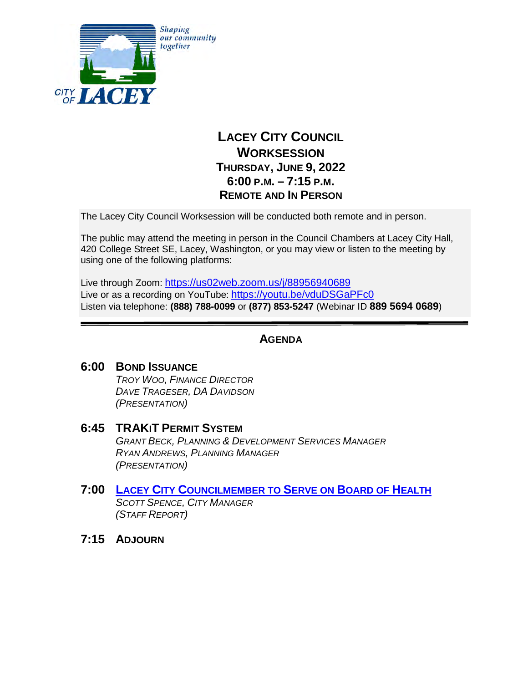

# **LACEY CITY COUNCIL WORKSESSION THURSDAY, JUNE 9, 2022 6:00 P.M. – 7:15 P.M. REMOTE AND IN PERSON**

The Lacey City Council Worksession will be conducted both remote and in person.

The public may attend the meeting in person in the Council Chambers at Lacey City Hall, 420 College Street SE, Lacey, Washington, or you may view or listen to the meeting by using one of the following platforms:

Live through Zoom: <https://us02web.zoom.us/j/88956940689> Live or as a recording on YouTube: <https://youtu.be/vduDSGaPFc0> Listen via telephone: **(888) 788-0099** or **(877) 853-5247** (Webinar ID **889 5694 0689**)

## **AGENDA**

- **6:00 BOND ISSUANCE** *TROY WOO, FINANCE DIRECTOR DAVE TRAGESER, DA DAVIDSON (PRESENTATION)*
- **6:45 TRAKIT PERMIT SYSTEM** *GRANT BECK, PLANNING & DEVELOPMENT SERVICES MANAGER RYAN ANDREWS, PLANNING MANAGER (PRESENTATION)*
- **7:00 LACEY CITY C[OUNCILMEMBER TO](#page-1-0) SERVE ON BOARD OF HEALTH** *SCOTT SPENCE, CITY MANAGER (STAFF REPORT)*
- **7:15 ADJOURN**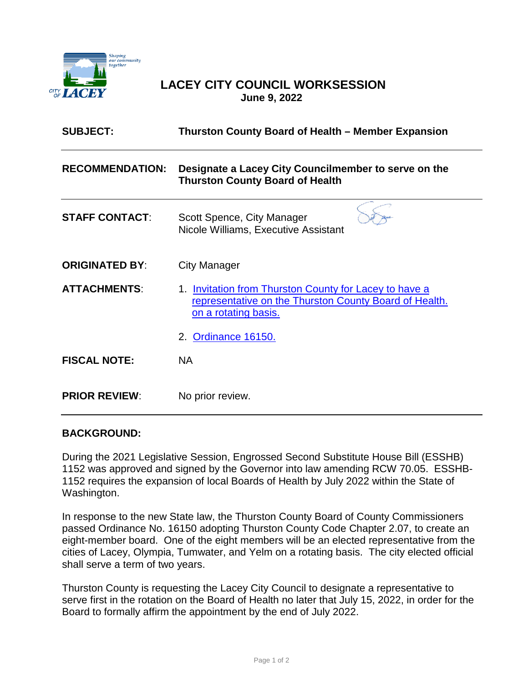<span id="page-1-0"></span>

## **LACEY CITY COUNCIL WORKSESSION June 9, 2022**

| <b>SUBJECT:</b>        | Thurston County Board of Health – Member Expansion                                                                                       |
|------------------------|------------------------------------------------------------------------------------------------------------------------------------------|
| <b>RECOMMENDATION:</b> | Designate a Lacey City Councilmember to serve on the<br><b>Thurston County Board of Health</b>                                           |
| <b>STAFF CONTACT:</b>  | Scott Spence, City Manager<br>Nicole Williams, Executive Assistant                                                                       |
| <b>ORIGINATED BY:</b>  | City Manager                                                                                                                             |
| <b>ATTACHMENTS:</b>    | 1. Invitation from Thurston County for Lacey to have a<br>representative on the Thurston County Board of Health.<br>on a rotating basis. |
|                        | 2. Ordinance 16150.                                                                                                                      |
| <b>FISCAL NOTE:</b>    | <b>NA</b>                                                                                                                                |
| <b>PRIOR REVIEW:</b>   | No prior review.                                                                                                                         |

### **BACKGROUND:**

During the 2021 Legislative Session, Engrossed Second Substitute House Bill (ESSHB) 1152 was approved and signed by the Governor into law amending RCW 70.05. ESSHB-1152 requires the expansion of local Boards of Health by July 2022 within the State of Washington.

In response to the new State law, the Thurston County Board of County Commissioners passed Ordinance No. 16150 adopting Thurston County Code Chapter 2.07, to create an eight-member board. One of the eight members will be an elected representative from the cities of Lacey, Olympia, Tumwater, and Yelm on a rotating basis. The city elected official shall serve a term of two years.

Thurston County is requesting the Lacey City Council to designate a representative to serve first in the rotation on the Board of Health no later that July 15, 2022, in order for the Board to formally affirm the appointment by the end of July 2022.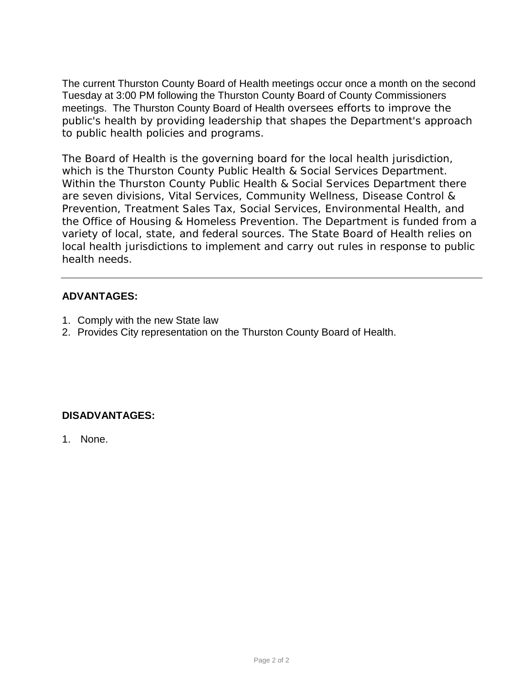The current Thurston County Board of Health meetings occur once a month on the second Tuesday at 3:00 PM following the Thurston County Board of County Commissioners meetings. The Thurston County Board of Health oversees efforts to improve the public's health by providing leadership that shapes the Department's approach to public health policies and programs.

The Board of Health is the governing board for the local health jurisdiction, which is the Thurston County Public Health & Social Services Department. Within the Thurston County Public Health & Social Services Department there are seven divisions, Vital Services, Community Wellness, Disease Control & Prevention, Treatment Sales Tax, Social Services, Environmental Health, and the Office of Housing & Homeless Prevention. The Department is funded from a variety of local, state, and federal sources. The State Board of Health relies on local health jurisdictions to implement and carry out rules in response to public health needs.

## **ADVANTAGES:**

- 1. Comply with the new State law
- 2. Provides City representation on the Thurston County Board of Health.

## **DISADVANTAGES:**

1. None.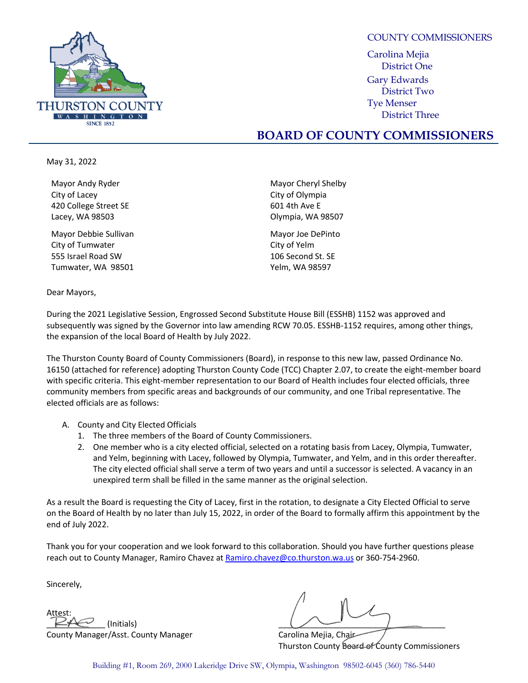<span id="page-3-0"></span>

COUNTY COMMISSIONERS

Carolina Mejia District One Gary Edwards District Two Tye Menser District Three

## **BOARD OF COUNTY COMMISSIONERS**

May 31, 2022

Mayor Andy Ryder City of Lacey 420 College Street SE Lacey, WA 98503

Mayor Debbie Sullivan City of Tumwater 555 Israel Road SW Tumwater, WA 98501

Dear Mayors,

Mayor Cheryl Shelby City of Olympia 601 4th Ave E Olympia, WA 98507

Mayor Joe DePinto City of Yelm 106 Second St. SE Yelm, WA 98597

During the 2021 Legislative Session, Engrossed Second Substitute House Bill (ESSHB) 1152 was approved and subsequently was signed by the Governor into law amending RCW 70.05. ESSHB-1152 requires, among other things, the expansion of the local Board of Health by July 2022.

The Thurston County Board of County Commissioners (Board), in response to this new law, passed Ordinance No. 16150 (attached for reference) adopting Thurston County Code (TCC) Chapter 2.07, to create the eight-member board with specific criteria. This eight-member representation to our Board of Health includes four elected officials, three community members from specific areas and backgrounds of our community, and one Tribal representative. The elected officials are as follows:

- A. County and City Elected Officials
	- 1. The three members of the Board of County Commissioners.
	- 2. One member who is a city elected official, selected on a rotating basis from Lacey, Olympia, Tumwater, and Yelm, beginning with Lacey, followed by Olympia, Tumwater, and Yelm, and in this order thereafter. The city elected official shall serve a term of two years and until a successor is selected. A vacancy in an unexpired term shall be filled in the same manner as the original selection.

As a result the Board is requesting the City of Lacey, first in the rotation, to designate a City Elected Official to serve on the Board of Health by no later than July 15, 2022, in order of the Board to formally affirm this appointment by the end of July 2022.

Thank you for your cooperation and we look forward to this collaboration. Should you have further questions please reach out to County Manager, Ramiro Chavez a[t Ramiro.chavez@co.thurston.wa.us](mailto:Ramiro.chavez@co.thurston.wa.us) or 360-754-2960.

Sincerely,

Attest: County Manager/Asst. County Manager Count Carolina Mejia, Chair

 $\swarrow$  (Initials)  $\qquad \qquad$  (Initials)

Thurston County **Board of County Commissioners** 

Building #1, Room 269, 2000 Lakeridge Drive SW, Olympia, Washington 98502-6045 (360) 786-5440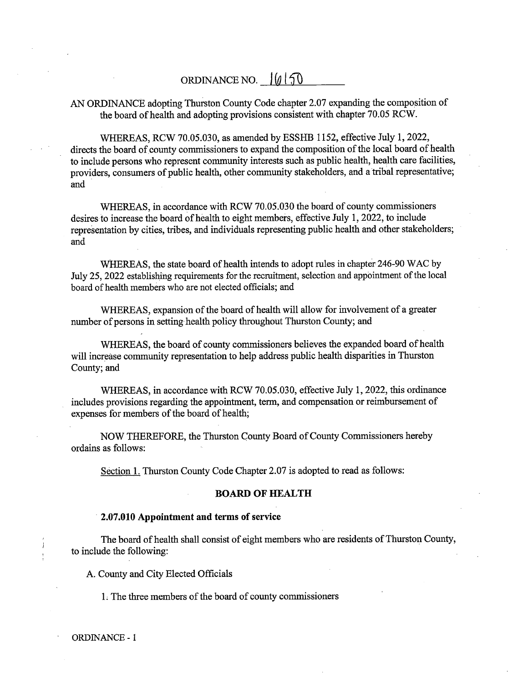## ORDINANCE NO.  $\left| \emptyset \right|$  50

### AN ORDINANCE adopting Thurston County Code chapter 2.07 expanding the composition of the board of health and adopting provisions consistent with chapter 70.05 RCW.

WHEREAS, RCW 70.05.030, as amended by ESSHB 1152, effective July 1, 2022, directs the board of county commissioners to expand the composition of the local board of health to include persons who represent community interests such as public health, health care facilities, providers, consumers of public health, other community stakeholders, and a tribal representative; and

WHEREAS, in accordance with RCW 70.05.030 the board of county commissioners desires to increase the board of health to eight members, effective July 1, 2022, to include representation by cities, tribes, and individuals representing public health and other stakeholders; and

WHEREAS, the state board of health intends to adopt rules in chapter 246-90 WAC by July 25, 2022 establishing requirements for the recruitment, selection and appointment of the local board of health members who are not elected officials; and

WHEREAS, expansion of the board of health will allow for involvement of a greater number of persons in setting health policy throughout Thurston County; and

WHEREAS, the board of county commissioners believes the expanded board of health will increase community representation to help address public health disparities in Thurston County; and

WHEREAS, in accordance with RCW 70.05.030, effective July 1, 2022, this ordinance includes provisions regarding the appointment, term, and compensation or reimbursement of expenses for members of the board of health;

NOW THEREFORE, the Thurston County Board of County Commissioners hereby ordains as follows:

Section 1. Thurston County Code Chapter 2.07 is adopted to read as follows:

### **BOARD OF HEALTH**

#### 2.07.010 Appointment and terms of service

The board of health shall consist of eight members who are residents of Thurston County, to include the following:

A. County and City Elected Officials

1. The three members of the board of county commissioners

**ORDINANCE - 1**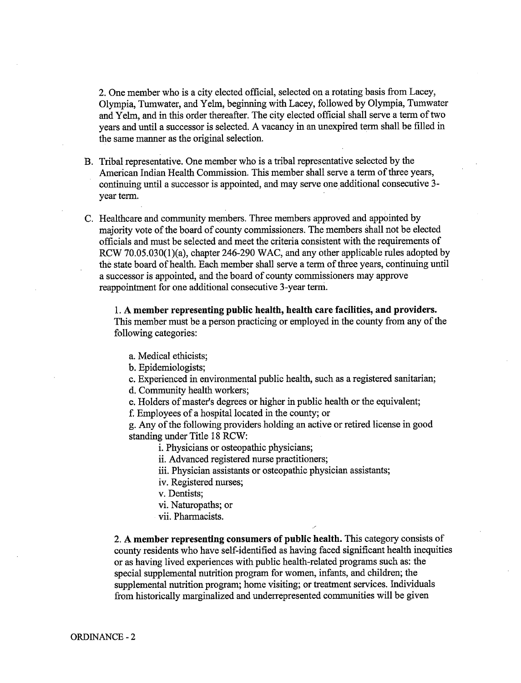2. One member who is a city elected official, selected on a rotating basis from Lacey, Olympia, Tumwater, and Yelm, beginning with Lacey, followed by Olympia, Tumwater and Yelm, and in this order thereafter. The city elected official shall serve a term of two years and until a successor is selected. A vacancy in an unexpired term shall be filled in the same manner as the original selection.

- B. Tribal representative. One member who is a tribal representative selected by the American Indian Health Commission. This member shall serve a term of three years, continuing until a successor is appointed, and may serve one additional consecutive 3vear term.
- C. Healthcare and community members. Three members approved and appointed by majority vote of the board of county commissioners. The members shall not be elected officials and must be selected and meet the criteria consistent with the requirements of RCW 70.05.030(1)(a), chapter 246-290 WAC, and any other applicable rules adopted by the state board of health. Each member shall serve a term of three years, continuing until a successor is appointed, and the board of county commissioners may approve reappointment for one additional consecutive 3-year term.

1. A member representing public health, health care facilities, and providers. This member must be a person practicing or employed in the county from any of the following categories:

- a. Medical ethicists:
- b. Epidemiologists;

c. Experienced in environmental public health, such as a registered sanitarian;

d. Community health workers;

e. Holders of master's degrees or higher in public health or the equivalent;

f. Employees of a hospital located in the county; or

g. Any of the following providers holding an active or retired license in good standing under Title 18 RCW:

i. Physicians or osteopathic physicians;

ii. Advanced registered nurse practitioners;

- iii. Physician assistants or osteopathic physician assistants;
- iv. Registered nurses:
- v. Dentists;
- vi. Naturopaths; or
- vii. Pharmacists.

2. A member representing consumers of public health. This category consists of county residents who have self-identified as having faced significant health inequities or as having lived experiences with public health-related programs such as: the special supplemental nutrition program for women, infants, and children; the supplemental nutrition program; home visiting; or treatment services. Individuals from historically marginalized and underrepresented communities will be given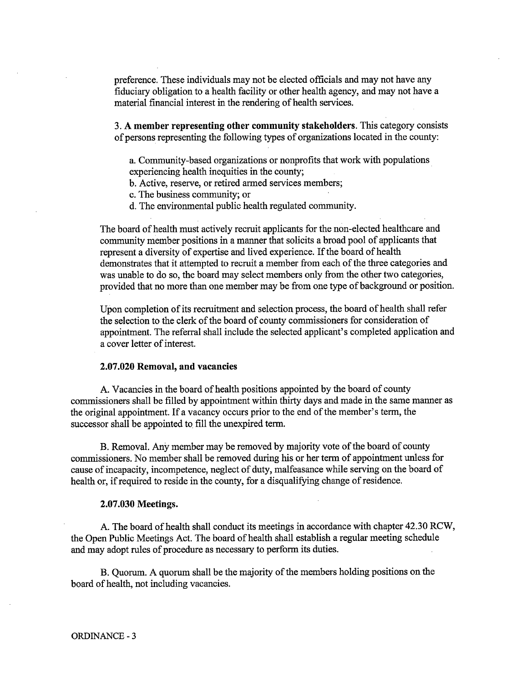preference. These individuals may not be elected officials and may not have any fiduciary obligation to a health facility or other health agency, and may not have a material financial interest in the rendering of health services.

3. A member representing other community stakeholders. This category consists of persons representing the following types of organizations located in the county:

a. Community-based organizations or nonprofits that work with populations experiencing health inequities in the county;

- b. Active, reserve, or retired armed services members;
- c. The business community; or
- d. The environmental public health regulated community.

The board of health must actively recruit applicants for the non-elected healthcare and community member positions in a manner that solicits a broad pool of applicants that represent a diversity of expertise and lived experience. If the board of health demonstrates that it attempted to recruit a member from each of the three categories and was unable to do so, the board may select members only from the other two categories, provided that no more than one member may be from one type of background or position.

Upon completion of its recruitment and selection process, the board of health shall refer the selection to the clerk of the board of county commissioners for consideration of appointment. The referral shall include the selected applicant's completed application and a cover letter of interest.

#### 2.07.020 Removal, and vacancies

A. Vacancies in the board of health positions appointed by the board of county commissioners shall be filled by appointment within thirty days and made in the same manner as the original appointment. If a vacancy occurs prior to the end of the member's term, the successor shall be appointed to fill the unexpired term.

B. Removal. Any member may be removed by majority vote of the board of county commissioners. No member shall be removed during his or her term of appointment unless for cause of incapacity, incompetence, neglect of duty, malfeasance while serving on the board of health or, if required to reside in the county, for a disqualifying change of residence.

#### 2.07.030 Meetings.

A. The board of health shall conduct its meetings in accordance with chapter 42.30 RCW, the Open Public Meetings Act. The board of health shall establish a regular meeting schedule and may adopt rules of procedure as necessary to perform its duties.

B. Quorum. A quorum shall be the majority of the members holding positions on the board of health, not including vacancies.